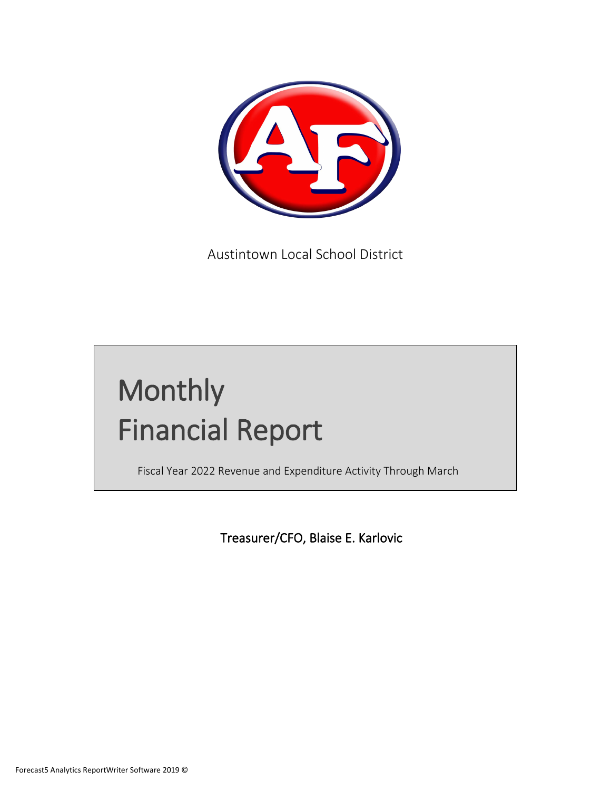

Austintown Local School District

# Monthly Financial Report

Fiscal Year 2022 Revenue and Expenditure Activity Through March

Treasurer/CFO, Blaise E. Karlovic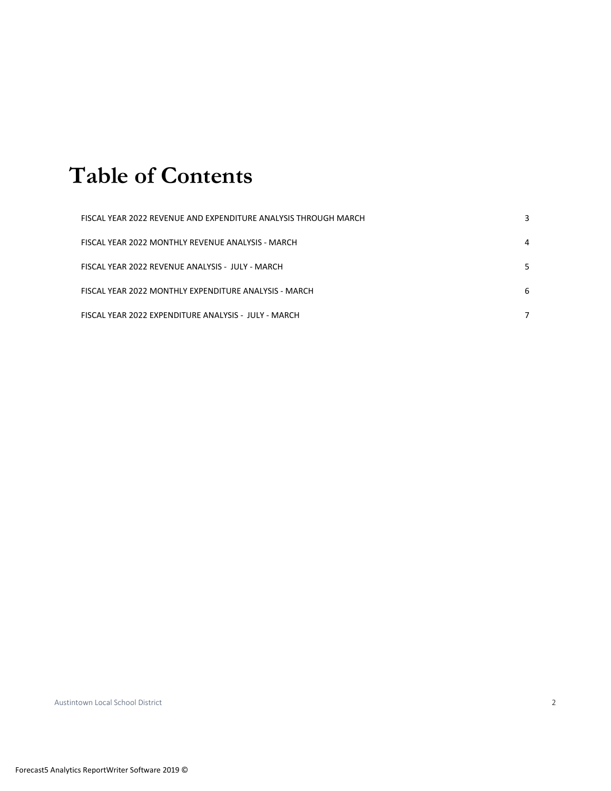# **Table of Contents**

| FISCAL YEAR 2022 REVENUE AND EXPENDITURE ANALYSIS THROUGH MARCH |   |
|-----------------------------------------------------------------|---|
| FISCAL YEAR 2022 MONTHLY REVENUE ANALYSIS - MARCH               | 4 |
| FISCAL YEAR 2022 REVENUE ANALYSIS - JULY - MARCH                |   |
| FISCAL YEAR 2022 MONTHLY EXPENDITURE ANALYSIS - MARCH           | 6 |
| FISCAL YEAR 2022 EXPENDITURE ANALYSIS - JULY - MARCH            |   |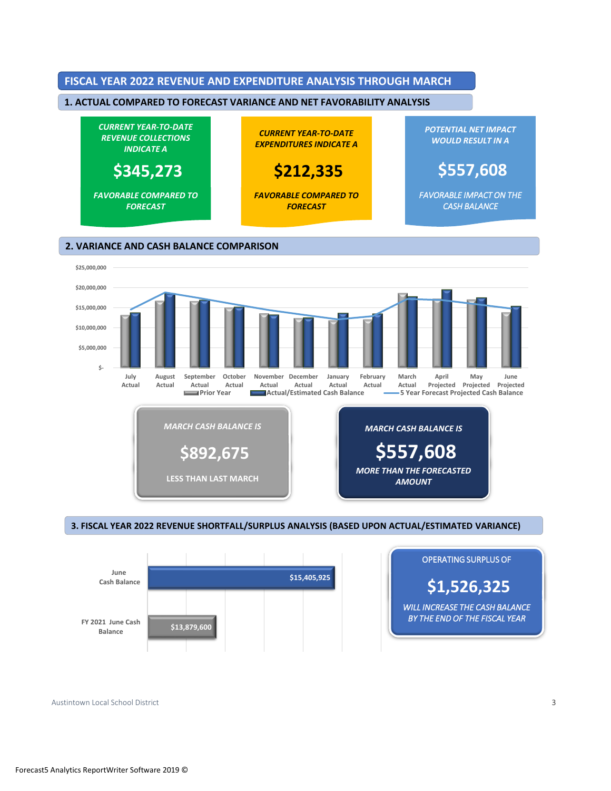



 $3.28.$  FISCAL YEAR 2022 REVENUE SHORTFALL/SURPLUS ANALYSIS (BASED UPON ACTUAL) **3. FISCAL YEAR 2022 REVENUE SHORTFALL/SURPLUS ANALYSIS (BASED UPON ACTUAL/ESTIMATED VARIANCE)**





Austintown Local School District 3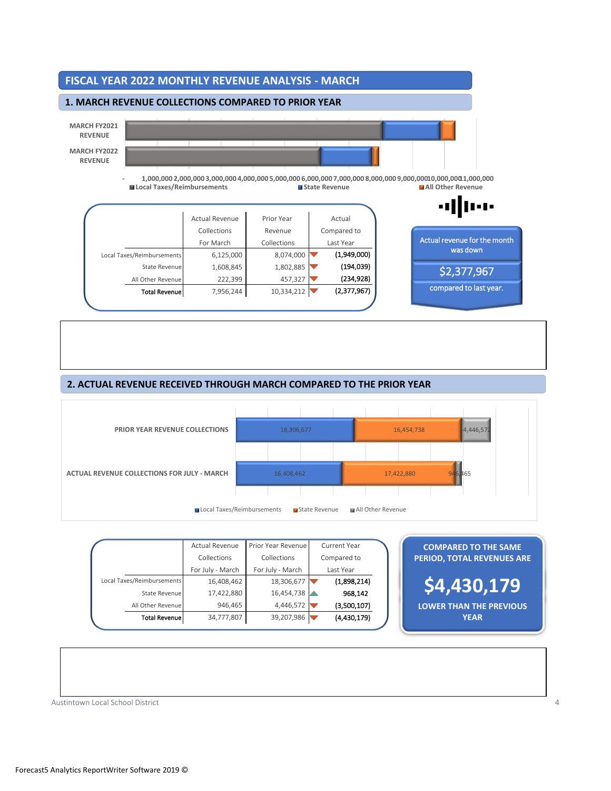

# 2. ACTUAL REVENUE RECEIVED THROUGH MARCH COMPARED TO THE PRIOR YEAR **2. ACTUAL REVENUE RECEIVED THROUGH MARCH COMPARED TO THE PRIOR YEAR**



|                                             | Actual Revenue<br>Collections<br>For July - March | Prior Year Revenue<br>Collections<br>For July - March | Current Year<br>Compared to<br>Last Year | <b>COMPARED TO THE SAME</b><br><b>PERIOD, TOTAL REVENUES ARE</b> |
|---------------------------------------------|---------------------------------------------------|-------------------------------------------------------|------------------------------------------|------------------------------------------------------------------|
| Local Taxes/Reimbursements<br>State Revenue | 16,408,462<br>17,422,880                          | 18,306,677<br>16,454,738                              | (1,898,214)<br>968,142                   | \$4,430,179                                                      |
| All Other Revenue<br><b>Total Revenue</b>   | 946,465<br>34,777,807                             | 4,446,572<br>39,207,986                               | (3,500,107)<br>(4,430,179)               | <b>LOWER THAN THE PREVIOUS</b><br><b>YEAR</b>                    |

Austintown Local School District 4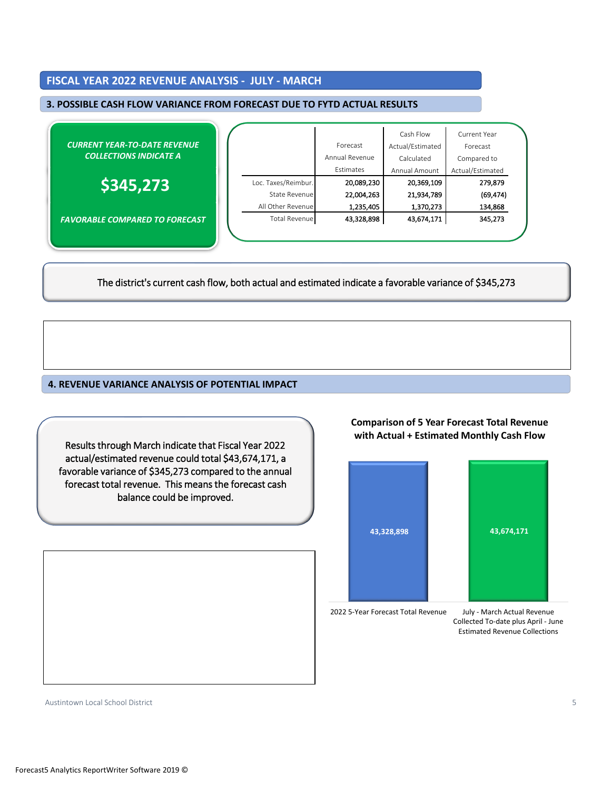# FISCAL YEAR 2022 REVENUE ANALYSIS - JULY - MARCH **FISCAL YEAR 2022 REVENUE ANALYSIS - JULY - MARCH**

## 3. POSSIBLE CASH FLOW VARIANCE FROM FORECAST DUE TO FYTD ACTUAL RESULTS **3. POSSIBLE CASH FLOW VARIANCE FROM FORECAST DUE TO FYTD ACTUAL RESULTS**

| <b>CURRENT YEAR-TO-DATE REVENUE</b><br><b>COLLECTIONS INDICATE A</b> |                     | Forecast                    | Cash Flow<br>Actual/Estimated | Current Year<br>Forecast        |
|----------------------------------------------------------------------|---------------------|-----------------------------|-------------------------------|---------------------------------|
|                                                                      |                     | Annual Revenue<br>Estimates | Calculated<br>Annual Amount   | Compared to<br>Actual/Estimated |
| \$345,273                                                            | Loc. Taxes/Reimbur. | 20,089,230                  | 20,369,109                    | 279,879                         |
|                                                                      | State Revenue       | 22,004,263                  | 21,934,789                    | (69, 474)                       |
|                                                                      | All Other Revenue   | 1,235,405                   | 1,370,273                     | 134,868                         |
| <b>FAVORABLE COMPARED TO FORECAST</b>                                | Total Revenue       | 43,328,898                  | 43,674,171                    | 345,273                         |
|                                                                      |                     |                             |                               |                                 |

The district's current cash flow, both actual and estimated indicate a favorable variance of \$345,273

higher April 2021 - July 2022 - July 2022 - July 2022 - March 2022 - March 2022 - March 2022 - March 2022 - Ma

#### **4. REVENUE VARIANCE ANALYSIS OF POTENTIAL IMPACT**

actual/estimated revenue could total \$43,674,171, a forecast total revenue. This means the forecast cash<br>halongs sayld halongsysed Results through March indicate that Fiscal Year 2022 favorable variance of \$345,273 compared to the annual **Comparison of 5 Year Forecast Total Revenue with Actual + Estimated Monthly Cash Flow**



2022 5-Year Forecast Total Revenue

July - March Actual Revenue Collected To-date plus April - June Estimated Revenue Collections

Austintown Local School District 5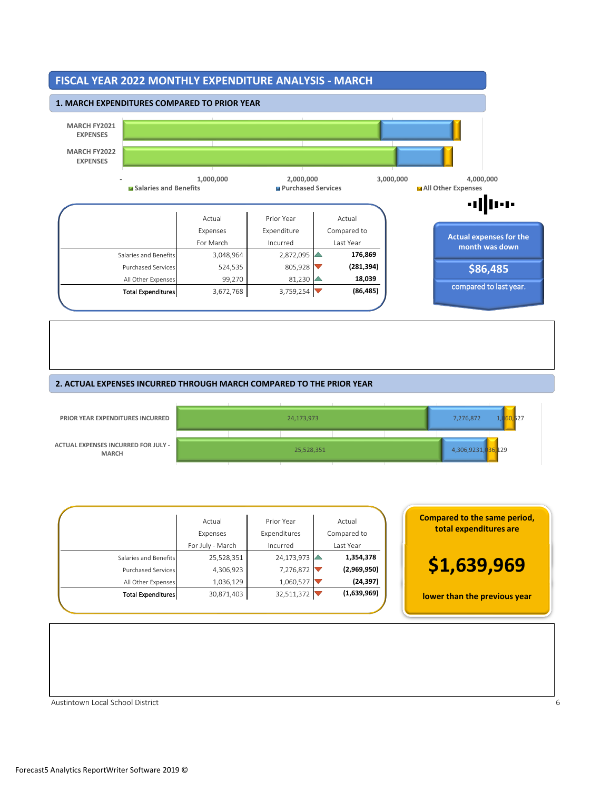

#### **2. ACTUAL EXPENSES INCURRED THROUGH MARCH COMPARED TO THE PRIOR YEAR**



| <b>Compared to the s</b><br>total expendit | Actual<br>Compared to | Prior Year<br>Expenditures | Actual<br>Expenses |                           |
|--------------------------------------------|-----------------------|----------------------------|--------------------|---------------------------|
|                                            | Last Year             | Incurred                   | For July - March   |                           |
|                                            | 1,354,378             | 24,173,973                 | 25,528,351         | Salaries and Benefits     |
| \$1,639                                    | (2,969,950)           | 7,276,872                  | 4,306,923          | Purchased Services        |
|                                            | (24, 397)             | 1,060,527                  | 1,036,129          | All Other Expenses        |
| lower than the pr                          | (1,639,969)           | 32,511,372                 | 30,871,403         | <b>Total Expenditures</b> |
|                                            |                       |                            |                    |                           |

| <b>Compared to the same period,</b><br>total expenditures are |
|---------------------------------------------------------------|
| \$1,639,969                                                   |
| lower than the previous year                                  |

Austintown Local School District 6